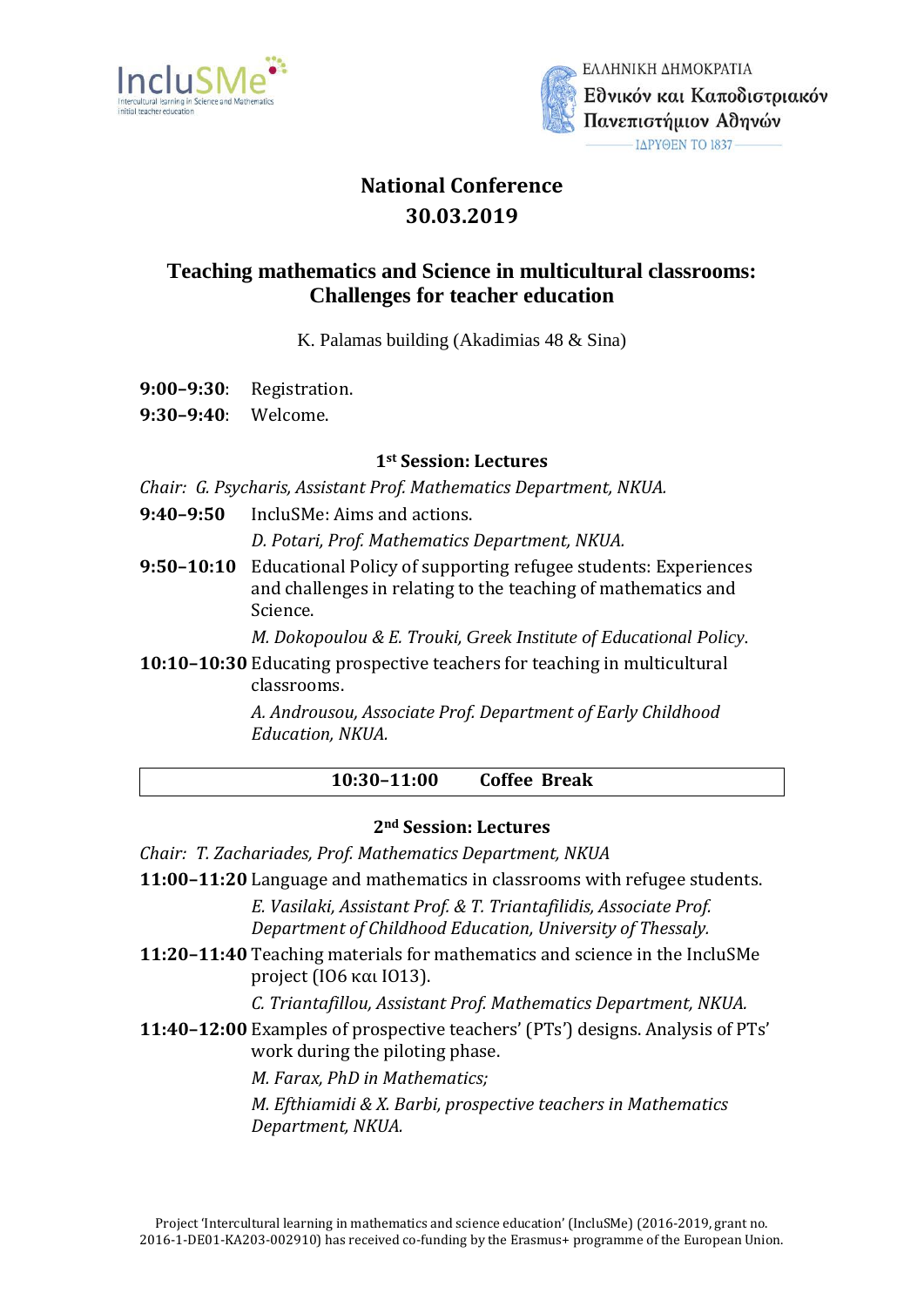



ΕΛΛΗΝΙΚΗ ΔΗΜΟΚΡΑΤΙΑ Εθνικόν και Καποδιστριακόν Πανεπιστήμιον Αθηνών ΙΔΡΥΘΕΝ ΤΟ 1837-

# **National Conference 30.03.2019**

## **Teaching mathematics and Science in multicultural classrooms: Challenges for teacher education**

K. Palamas building (Akadimias 48 & Sina)

- **9:00–9:30**: Registration.
- **9:30–9:40**: Welcome.

## **1st Session: Lectures**

*Chair: G. Psycharis, Assistant Prof. Mathematics Department, NKUA.*

**9:40–9:50** IncluSMe: Aims and actions.

*D. Potari, Prof. Mathematics Department, NKUA.*

**9:50–10:10** Educational Policy of supporting refugee students: Experiences and challenges in relating to the teaching of mathematics and Science.

*Μ. Dokopoulou & E. Trouki, Greek Institute of Educational Policy.*

**10:10–10:30** Educating prospective teachers for teaching in multicultural classrooms.

> *Α. Androusou, Associate Prof. Department of Early Childhood Education, NKUA.*

> > **10:30–11:00 Coffee Break**

## **2nd Session: Lectures**

- *Chair: T. Zachariades, Prof. Mathematics Department, NKUA*
- **11:00–11:20** Language and mathematics in classrooms with refugee students.

*Ε. Vasilaki, Assistant Prof. & T. Triantafilidis, Associate Prof. Department of Childhood Education, University of Thessaly.*

**11:20–11:40** Teaching materials for mathematics and science in the IncluSMe project (IO6 και IO13).

*C. Triantafillou, Assistant Prof. Mathematics Department, NKUA.*

**11:40–12:00** Examples of prospective teachers' (PTs') designs. Analysis of PTs' work during the piloting phase.

*M. Farax, PhD in Mathematics;*

*Μ. Εfthiamidi & X. Barbi, prospective teachers in Mathematics Department, NKUA.*